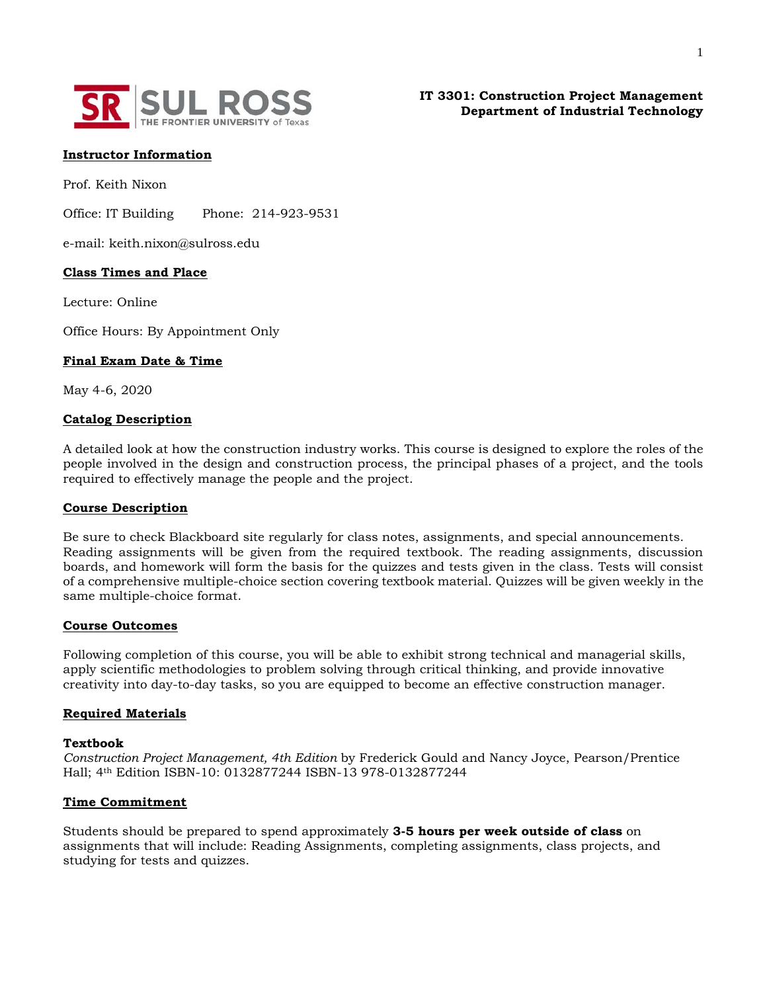

**IT 3301: Construction Project Management Department of Industrial Technology**

## **Instructor Information**

Prof. Keith Nixon

Office: IT Building Phone: 214-923-9531

e-mail: keith.nixon@sulross.edu

## **Class Times and Place**

Lecture: Online

Office Hours: By Appointment Only

### **Final Exam Date & Time**

May 4-6, 2020

#### **Catalog Description**

A detailed look at how the construction industry works. This course is designed to explore the roles of the people involved in the design and construction process, the principal phases of a project, and the tools required to effectively manage the people and the project.

#### **Course Description**

Be sure to check Blackboard site regularly for class notes, assignments, and special announcements. Reading assignments will be given from the required textbook. The reading assignments, discussion boards, and homework will form the basis for the quizzes and tests given in the class. Tests will consist of a comprehensive multiple-choice section covering textbook material. Quizzes will be given weekly in the same multiple-choice format.

# **Course Outcomes**

Following completion of this course, you will be able to exhibit strong technical and managerial skills, apply scientific methodologies to problem solving through critical thinking, and provide innovative creativity into day-to-day tasks, so you are equipped to become an effective construction manager.

#### **Required Materials**

#### **Textbook**

*Construction Project Management, 4th Edition* by Frederick Gould and Nancy Joyce, Pearson/Prentice Hall; 4th Edition ISBN-10: 0132877244 ISBN-13 978-0132877244

## **Time Commitment**

Students should be prepared to spend approximately **3-5 hours per week outside of class** on assignments that will include: Reading Assignments, completing assignments, class projects, and studying for tests and quizzes.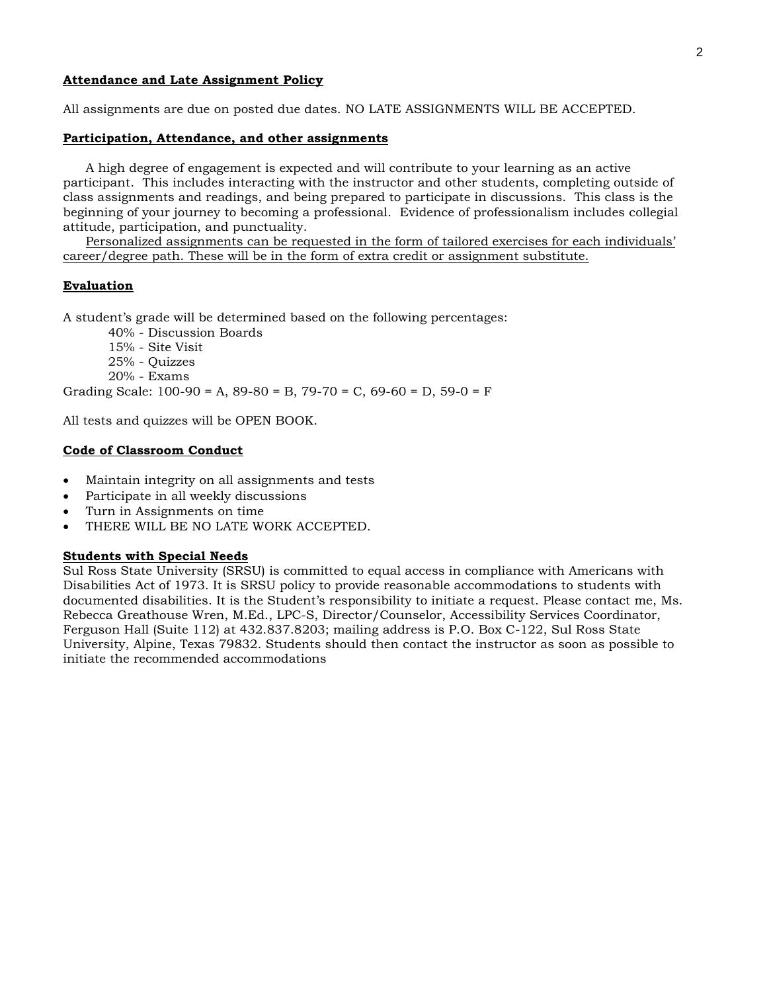## **Attendance and Late Assignment Policy**

All assignments are due on posted due dates. NO LATE ASSIGNMENTS WILL BE ACCEPTED.

## **Participation, Attendance, and other assignments**

A high degree of engagement is expected and will contribute to your learning as an active participant. This includes interacting with the instructor and other students, completing outside of class assignments and readings, and being prepared to participate in discussions. This class is the beginning of your journey to becoming a professional. Evidence of professionalism includes collegial attitude, participation, and punctuality.

Personalized assignments can be requested in the form of tailored exercises for each individuals' career/degree path. These will be in the form of extra credit or assignment substitute.

### **Evaluation**

A student's grade will be determined based on the following percentages:

40% - Discussion Boards

15% - Site Visit 25% - Quizzes 20% - Exams

Grading Scale: 100-90 = A, 89-80 = B, 79-70 = C, 69-60 = D, 59-0 = F

All tests and quizzes will be OPEN BOOK.

# **Code of Classroom Conduct**

- Maintain integrity on all assignments and tests
- Participate in all weekly discussions
- Turn in Assignments on time
- THERE WILL BE NO LATE WORK ACCEPTED.

## **Students with Special Needs**

Sul Ross State University (SRSU) is committed to equal access in compliance with Americans with Disabilities Act of 1973. It is SRSU policy to provide reasonable accommodations to students with documented disabilities. It is the Student's responsibility to initiate a request. Please contact me, Ms. Rebecca Greathouse Wren, M.Ed., LPC-S, Director/Counselor, Accessibility Services Coordinator, Ferguson Hall (Suite 112) at 432.837.8203; mailing address is P.O. Box C-122, Sul Ross State University, Alpine, Texas 79832. Students should then contact the instructor as soon as possible to initiate the recommended accommodations